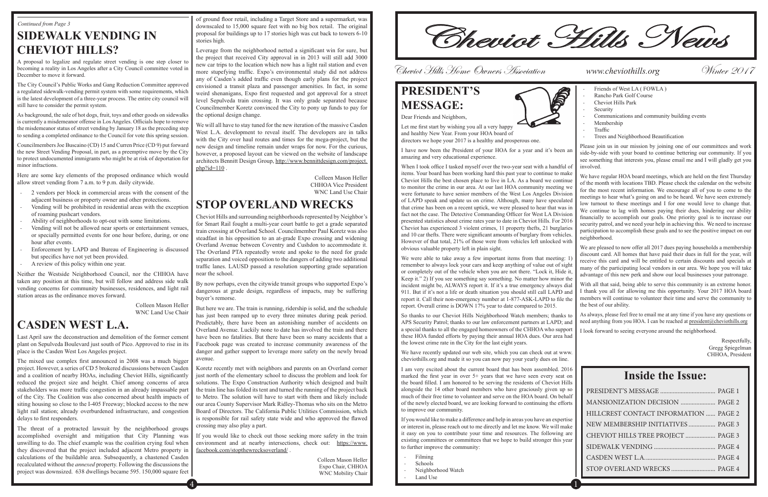## **SIDEWALK VENDING IN CHEVIOT HILLS?**

A proposal to legalize and regulate street vending is one step closer to becoming a reality in Los Angeles after a City Council committee voted in December to move it forward.

The City Council's Public Works and Gang Reduction Committee approved a regulated sidewalk-vending permit system with some requirements, which is the latest development of a three-year process. The entire city council will still have to consider the permit system.

As background, the sale of hot dogs, fruit, toys and other goods on sidewalks is currently a misdemeanor offense in Los Angeles. Officials hope to remove the misdemeanor status of street vending by January 18 as the preceding step to sending a completed ordinance to the Council for vote this spring session.

Councilmembers Joe Buscaino (CD) 15 and Curren Price (CD 9) put forward the new Street Vending Proposal, in part, as a preemptive move by the City to protect undocumented immigrants who might be at risk of deportation for minor infractions.

Here are some key elements of the proposed ordinance which would allow street vending from 7 a.m. to 9 p.m. daily citywide.

- 2 vendors per block in commercial areas with the consent of the adjacent business or property owner and other protections. Vending will be prohibited in residential areas with the exception
- of roaming pushcart vendors.
- Ability of neighborhoods to opt-out with some limitations.
- Vending will not be allowed near sports or entertainment venues or specially permitted events for one hour before, during, or one hour after events.
- Enforcement by LAPD and Bureau of Engineering is discussed but specifics have not yet been provided.
- A review of this policy within one year.

Neither the Westside Neighborhood Council, nor the CHHOA have taken any position at this time, but will follow and address side walk vending concerns for community businesses, residences, and light rail station areas as the ordinance moves forward.

> Colleen Mason Heller WNC Land Use Chair

### **CASDEN WEST L.A.**

We will all have to stay tuned for the new iteration of the massive Casden West L.A. development to reveal itself. The developers are in talks with the City over haul routes and times for the mega-project, but the new design and timeline remain under wraps for now. For the curious, however, a proposed layout can be viewed on the website of landscape architects Bennitt Design Group, http://www.bennittdesign.com/project.  $php$ ?id=110

Last April saw the deconstruction and demolition of the former cement plant on Sepulveda Boulevard just south of Pico. Approved to rise in its place is the Casden West Los Angeles project.

The mixed use complex first announced in 2008 was a much bigger project. However, a series of CD 5 brokered discussions between Casden and a coalition of nearby HOAs, including Cheviot Hills, significantly reduced the project size and height. Chief among concerns of area stakeholders was more traffic congestion in an already impassable part of the City. The Coalition was also concerned about health impacts of siting housing so close to the I-405 Freeway; blocked access to the new light rail station; already overburdened infrastructure, and congestion delays to first responders.

The threat of a protracted lawsuit by the neighborhood groups accomplished oversight and mitigation that City Planning was unwilling to do. The chief example was the coalition crying foul when they discovered that the project included adjacent Metro property in calculations of the buildable area. Subsequently, a chastened Casden recalculated without the *annexed* property. Following the discussions the project was downsized. 638 dwellings became 595. 150,000 square feet of ground floor retail, including a Target Store and a supermarket, was downscaled to 15,000 square feet with no big box retail. The original proposal for buildings up to 17 stories high was cut back to towers 6-10 stories high.

Leverage from the neighborhood netted a significant win for sure, but the project that received City approval in in 2013 will still add 3000 new car trips to the location which now has a light rail station and even more stupefying traffic. Expo's environmental study did not address any of Casden's added traffic even though early plans for the project envisioned a transit plaza and passenger amenities. In fact, in some weird shenanigans, Expo first requested and got approval for a street level Sepulveda train crossing. It was only grade separated because Councilmember Koretz convinced the City to pony up funds to pay for the optional design change.

> When I took office I tasked myself over the two-year seat with a handful of items. Your board has been working hard this past year to continue to make Cheviot Hills the best chosen place to live in LA. As a board we continue to monitor the crime in our area. At our last HOA community meeting we were fortunate to have senior members of the West Los Angeles Division of LAPD speak and update us on crime. Although, many have speculated that crime has been on a recent uptick, we were pleased to hear that was in fact not the case. The Detective Commanding Officer for West LA Division presented statistics about crime rates year to date in Cheviot Hills. For 2016 Cheviot has experienced 3 violent crimes, 11 property thefts, 21 burglaries and 10 car thefts. There were significant amounts of burglary from vehicles. However of that total, 21% of those were from vehicles left unlocked with obvious valuable property left in plain sight.

> We were able to take away a few important items from that meeting: 1 remember to always lock your cars and keep anything of value out of sight or completely out of the vehicle when you are not there. "Lock it, Hide it, Keep it." 2) If you see something say something. No matter how minor the incident might be, ALWAYS report it. If it's a true emergency always dial 911. But if it's not a life or death situation you should still call LAPD and report it. Call their non-emergency number at 1-877-ASK-LAPD to file the report. Overall crime is DOWN 17% year to date compared to 2015.

Colleen Mason Heller CHHOA Vice President WNC Land Use Chair

# **STOP OVERLAND WRECKS**

- Filming
- Schools
- Neighborhood Watch
- Land Use

Cheviot Hills and surrounding neighborhoods represented by Neighbor's for Smart Rail fought a multi-year court battle to get a grade separated train crossing at Overland School. Councilmember Paul Koretz was also steadfast in his opposition to an at-grade Expo crossing and widening Overland Avenue between Coventry and Cushdon to accommodate it. The Overland PTA repeatedly wrote and spoke to the need for grade separation and voiced opposition to the dangers of adding two additional traffic lanes. LAUSD passed a resolution supporting grade separation near the school.

- 
- Friends of West LA (FOWLA)
- Rancho Park Golf Course
- Cheviot Hills Park
- **Security**
- Communications and community building events
- Membership
- Traffic
- Trees and Neighborhood Beautification

By now perhaps, even the citywide transit groups who supported Expo's dangerous at grade design, regardless of impacts, may be suffering buyer's remorse.

But here we are. The train is running, ridership is solid, and the schedule has just been ramped up to every three minutes during peak period. Predictably, there have been an astonishing number of accidents on Overland Avenue. Luckily none to date has involved the train and there have been no fatalities. But there have been so many accidents that a Facebook page was created to increase community awareness of the danger and gather support to leverage more safety on the newly broad avenue.

As always, please feel free to email me at any time if you have any questions or need anything from you HOA. I can be reached at president@cheviothills.org

Koretz recently met with neighbors and parents on an Overland corner just north of the elementary school to discuss the problem and look for solutions. The Expo Construction Authority which designed and built the train line has folded its tent and turned the running of the project back to Metro. The solution will have to start with them and likely include our area County Supervisor Mark Ridley-Thomas who sits on the Metro Board of Directors. The California Public Utilities Commission, which is responsible for rail safety state wide and who approved the flawed crossing may also play a part.

If you would like to check out those seeking more safety in the train environment and at nearby intersections, check out: https://www. facebook.com/stopthewrecksoverland/ .

> Colleen Mason Heller Expo Chair, CHHOA WNC Mobility Chair

Continued from Page 3<br>
SIDEWALK VENDING IN<br>
SIDEWALK VENDING IN
<br>
stories high.<br>
stories high.<br>
stories high.

### **PRESIDENT'S MESSAGE:** Dear Friends and Neighbors,



Let me first start by wishing you all a very happy and healthy New Year. From your HOA board of

directors we hope your 2017 is a healthy and prosperous one.

I have now been the President of your HOA for a year and it's been an amazing and very educational experience.

So thanks to our Cheviot Hills Neighborhood Watch members; thanks to APS Security Patrol; thanks to our law enforcement partners at LAPD; and a special thanks to all the engaged homeowners of the CHHOA who support these HOA funded efforts by paying their annual HOA dues. Our area had the lowest crime rate in the City for the last eight years.

We have recently updated our web site, which you can check out at www. cheviothills.org and made it so you can now pay your yearly dues on line.

I am very excited about the current board that has been assembled. 2016 marked the first year in over 5+ years that we have seen every seat on the board filled. I am honored to be serving the residents of Cheviot Hills alongside the 14 other board members who have graciously given up so much of their free time to volunteer and serve on the HOA board. On behalf of the newly elected board, we are looking forward to continuing the efforts to improve our community.

If you would like to make a difference and help in areas you have an expertise or interest in, please reach out to me directly and let me know. We will make it easy on you to contribute your time and resources. The following are existing committees or committees that we hope to build stronger this year to further improve the community:

Please join us in our mission by joining one of our committees and work side-by-side with your board to continue bettering our community. If you see something that interests you, please email me and I will gladly get you involved.

We have regular HOA board meetings, which are held on the first Thursday of the month with locations TBD. Please check the calendar on the website for the most recent information. We encourage all of you to come to the meetings to hear what's going on and to be heard. We have seen extremely low turnout to these meetings and I for one would love to change that. We continue to lag with homes paying their dues, hindering our ability financially to accomplish our goals. One priority goal is to increase our security patrol, and we need your help in achieving this. We need to increase participation to accomplish these goals and to see the positive impact on our neighborhood.

We are pleased to now offer all 2017 dues paying households a membership discount card. All homes that have paid their dues in full for the year, will receive this card and will be entitled to certain discounts and specials at many of the participating local vendors in our area. We hope you will take advantage of this new perk and show our local businesses your patronage.

With all that said, being able to serve this community is an extreme honor. I thank you all for allowing me this opportunity. Your 2017 HOA board members will continue to volunteer their time and serve the community to the best of our ability.

I look forward to seeing everyone around the neighborhood.

Respectfully, Gregg Spiegelman CHHOA, President

Cheviot Hills Home Owners Association *www.cheviothills.org* Winter 2017

### **Inside the Issue:**

| MANSIONIZATION DECISION  PAGE 2       |  |
|---------------------------------------|--|
| HILLCREST CONTACT INFORMATION  PAGE 2 |  |
| NEW MEMBERSHIP INITIATIVES  PAGE 3    |  |
| CHEVIOT HILLS TREE PROJECT  PAGE 3    |  |
|                                       |  |
|                                       |  |
|                                       |  |